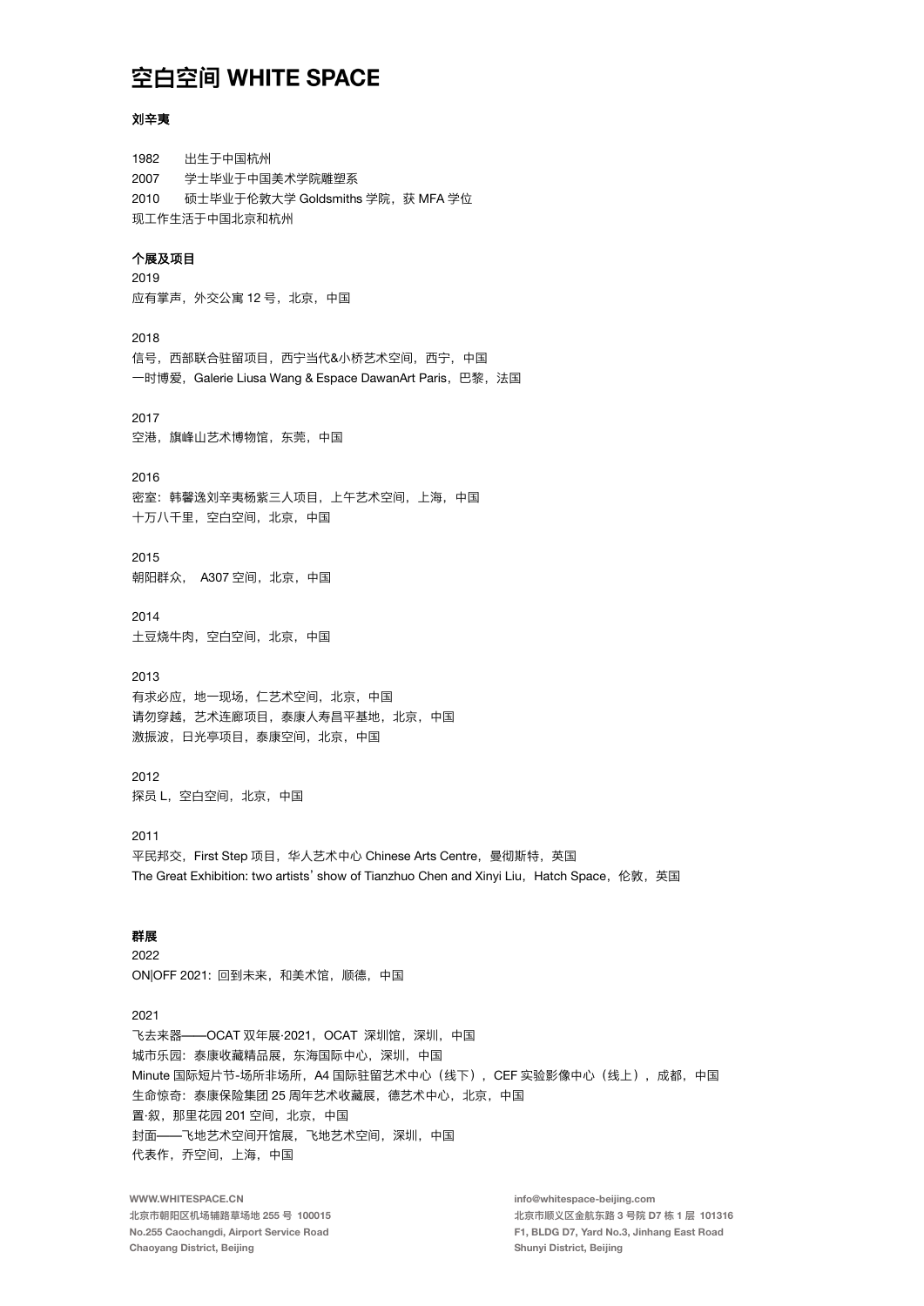#### 刘辛夷

1982 出生干中国杭州 2007 学士毕业于中国美术学院雕塑系 硕士毕业于伦敦大学 Goldsmiths 学院,获 MFA 学位 2010 现工作生活于中国北京和杭州 个展及项目 2019 应有掌声, 外交公寓 12号, 北京, 中国 2018 信号,西部联合驻留项目,西宁当代&小桥艺术空间,西宁,中国 一时博爱, Galerie Liusa Wang & Espace DawanArt Paris, 巴黎, 法国 2017 空港, 旗峰山艺术博物馆, 东莞, 中国 2016 密室: 韩馨逸刘辛夷杨紫三人项目, 上午艺术空间, 上海, 中国 十万八千里, 空白空间, 北京, 中国 2015 朝阳群众, A307空间, 北京, 中国  $2014$ 土豆烧牛肉,空白空间,北京,中国 2013 有求必应, 地一现场, 仁艺术空间, 北京, 中国 请勿穿越,艺术连廊项目,泰康人寿昌平基地,北京,中国 激振波, 日光亭项目, 泰康空间, 北京, 中国 2012 探员 L, 空白空间, 北京, 中国 2011 平民邦交, First Step 项目, 华人艺术中心 Chinese Arts Centre, 曼彻斯特, 英国 The Great Exhibition: two artists' show of Tianzhuo Chen and Xinvi Liu. Hatch Space. 伦敦, 英国 群展 2022 ON|OFF 2021: 回到未来, 和美术馆, 顺德, 中国 2021 飞去来器——OCAT 双年展·2021, OCAT 深圳馆, 深圳, 中国 城市乐园: 泰康收藏精品展, 东海国际中心, 深圳, 中国 Minute 国际短片节-场所非场所, A4 国际驻留艺术中心(线下), CEF 实验影像中心(线上), 成都, 中国 生命惊奇: 泰康保险集团 25 周年艺术收藏展, 德艺术中心, 北京, 中国 置·叙, 那里花园 201 空间, 北京, 中国 封面——飞地艺术空间开馆展,飞地艺术空间,深圳,中国 代表作, 乔空间, 上海, 中国 WWW.WHITESPACE.CN info@whitespace-beijing.com

北京市朝阳区机场辅路草场地 255 号 100015 No.255 Caochangdi, Airport Service Road Chaoyang District, Beijing

北京市顺义区金航东路 3 号院 D7 栋 1 层 101316 F1, BLDG D7, Yard No.3, Jinhang East Road Shunyi District, Beijing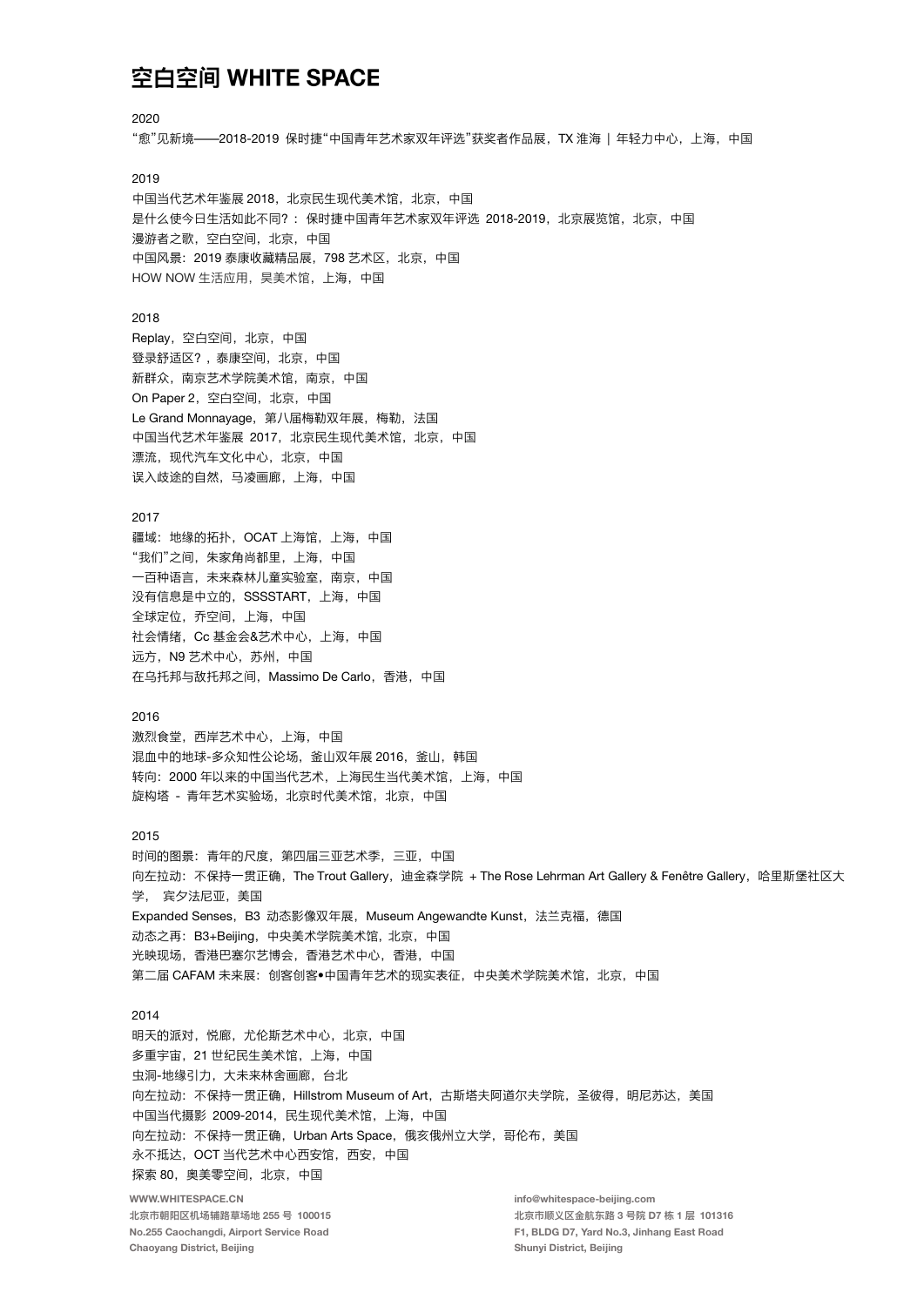2020 "愈"见新境——2018-2019 保时捷"中国青年艺术家双年评选"获奖者作品展,TX 淮海 | 年轻力中心,上海,中国 2019 中国当代艺术年鉴展 2018, 北京民生现代美术馆, 北京, 中国 是什么使今日生活如此不同?: 保时捷中国青年艺术家双年评选 2018-2019, 北京展览馆, 北京, 中国 漫游者之歌,空白空间,北京,中国 中国风景: 2019 泰康收藏精品展, 798 艺术区, 北京, 中国 HOW NOW 生活应用, 昊美术馆, 上海, 中国 2018 Replay, 空白空间, 北京, 中国 登录舒适区?, 泰康空间, 北京, 中国 新群众, 南京艺术学院美术馆, 南京, 中国 On Paper 2, 空白空间, 北京, 中国 Le Grand Monnayage, 第八届梅勒双年展, 梅勒, 法国 中国当代艺术年鉴展 2017, 北京民生现代美术馆, 北京, 中国 漂流,现代汽车文化中心,北京,中国 误入歧途的自然, 马凌画廊, 上海, 中国 2017 疆域: 地缘的拓扑, OCAT 上海馆, 上海, 中国 "我们"之间, 朱家角尚都里, 上海, 中国 一百种语言,未来森林儿童实验室,南京,中国 没有信息是中立的, SSSSTART, 上海, 中国 全球定位, 乔空间, 上海, 中国 社会情绪, Cc 基金会&艺术中心, 上海, 中国 远方, N9 艺术中心, 苏州, 中国 在乌托邦与敌托邦之间, Massimo De Carlo, 香港, 中国 2016 激烈食堂。西岸艺术中心。上海。中国 混血中的地球-多众知性公论场,釜山双年展 2016,釜山,韩国 转向: 2000年以来的中国当代艺术, 上海民生当代美术馆, 上海, 中国 旋构塔 - 青年艺术实验场,北京时代美术馆,北京,中国 2015 时间的图景: 青年的尺度, 第四届三亚艺术季, 三亚, 中国 向左拉动: 不保持一贯正确, The Trout Gallery, 迪金森学院 + The Rose Lehrman Art Gallery & Fenêtre Gallery, 哈里斯堡社区大 学. 宾夕法尼亚. 美国 Expanded Senses, B3 动态影像双年展, Museum Angewandte Kunst, 法兰克福, 德国 动态之再: B3+Beijing, 中央美术学院美术馆, 北京, 中国 光映现场,香港巴塞尔艺博会,香港艺术中心,香港,中国 第二届 CAFAM 未来展: 创客创客●中国青年艺术的现实表征, 中央美术学院美术馆, 北京, 中国 2014 明天的派对, 悦廊, 尤伦斯艺术中心, 北京, 中国 多重宇宙, 21世纪民生美术馆, 上海, 中国 虫洞-地缘引力,大未来林舍画廊,台北 向左拉动: 不保持一贯正确, Hillstrom Museum of Art, 古斯塔夫阿道尔夫学院, 圣彼得, 明尼苏达, 美国 中国当代摄影 2009-2014, 民生现代美术馆, 上海, 中国 向左拉动: 不保持一贯正确, Urban Arts Space, 俄亥俄州立大学, 哥伦布, 美国 永不抵达, OCT 当代艺术中心西安馆, 西安, 中国 探索 80, 奥美零空间, 北京, 中国 WWW.WHITESPACE.CN info@whitespace-beijing.com 北京市朝阳区机场辅路草场地 255 号 100015 北京市顺义区金航东路 3 号院 D7 栋 1 层 101316 No.255 Caochangdi, Airport Service Road F1, BLDG D7, Yard No.3, Jinhang East Road Chaoyang District, Beijing Shunyi District, Beijing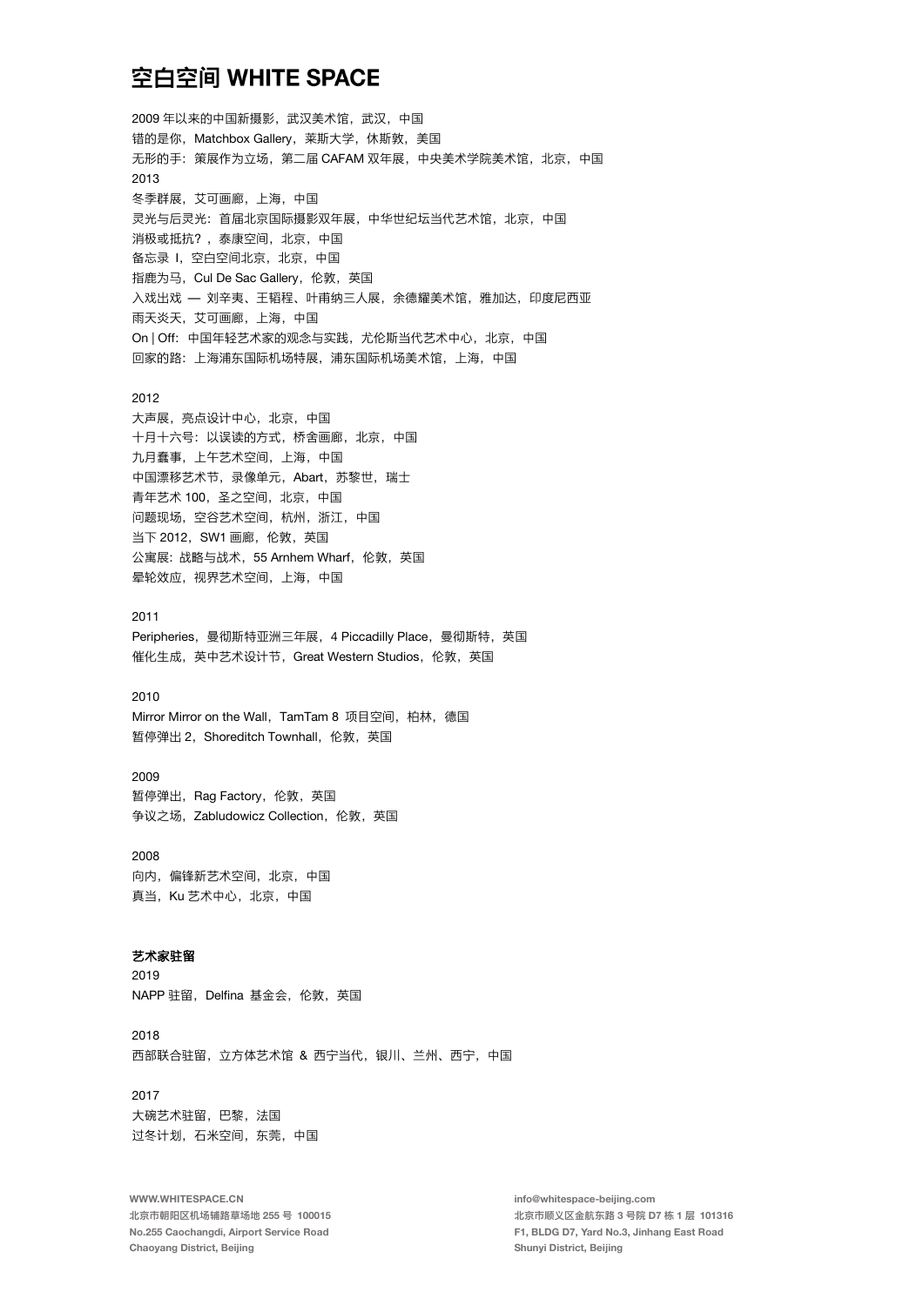2009年以来的中国新摄影, 武汉美术馆, 武汉, 中国 错的是你, Matchbox Gallery, 莱斯大学, 休斯敦, 美国 无形的手: 策展作为立场, 第二届 CAFAM 双年展, 中央美术学院美术馆, 北京, 中国 2013 冬季群展,艾可画廊,上海,中国 灵光与后灵光: 首届北京国际摄影双年展, 中华世纪坛当代艺术馆, 北京, 中国 消极或抵抗?, 泰康空间, 北京, 中国 备忘录 I, 空白空间北京, 北京, 中国 指鹿为马, Cul De Sac Gallery, 伦敦, 英国 入戏出戏 — 刘辛夷、王韬程、叶甫纳三人展, 余德耀美术馆, 雅加达, 印度尼西亚 雨天炎天、艾可画廊、上海、中国 On | Off: 中国年轻艺术家的观念与实践, 尤伦斯当代艺术中心, 北京, 中国 回家的路: 上海浦东国际机场特展, 浦东国际机场美术馆, 上海, 中国 2012 大声展, 亮点设计中心, 北京, 中国 十月十六号: 以误读的方式, 桥舍画廊, 北京, 中国 九月蠢事,上午艺术空间,上海,中国 中国漂移艺术节, 录像单元, Abart, 苏黎世, 瑞士

青年艺术 100, 圣之空间, 北京, 中国 问题现场,空谷艺术空间,杭州,浙江,中国 当下 2012, SW1 画廊, 伦敦, 英国 公寓展:战略与战术, 55 Arnhem Wharf, 伦敦, 英国 晕轮效应, 视界艺术空间, 上海, 中国

# 2011 Peripheries, 曼彻斯特亚洲三年展, 4 Piccadilly Place, 曼彻斯特, 英国 催化生成, 英中艺术设计节, Great Western Studios, 伦敦, 英国

#### 2010

Mirror Mirror on the Wall, TamTam 8 项目空间, 柏林, 德国 暂停弹出 2. Shoreditch Townhall. 伦敦. 英国

# 2009

暂停弹出, Rag Factory, 伦敦, 英国 争议之场, Zabludowicz Collection, 伦敦, 英国

2008 向内,偏锋新艺术空间,北京,中国 真当, Ku 艺术中心, 北京, 中国

# 艺术家驻留

2019 NAPP 驻留, Delfina 基金会, 伦敦, 英国

2018 西部联合驻留, 立方体艺术馆 & 西宁当代, 银川、兰州、西宁, 中国

# 2017

大碗艺术驻留,巴黎,法国 过冬计划, 石米空间, 东莞, 中国

WWW.WHITESPACE.CN 北京市朝阳区机场辅路草场地 255 号 100015 No.255 Caochangdi, Airport Service Road Chaoyang District, Beijing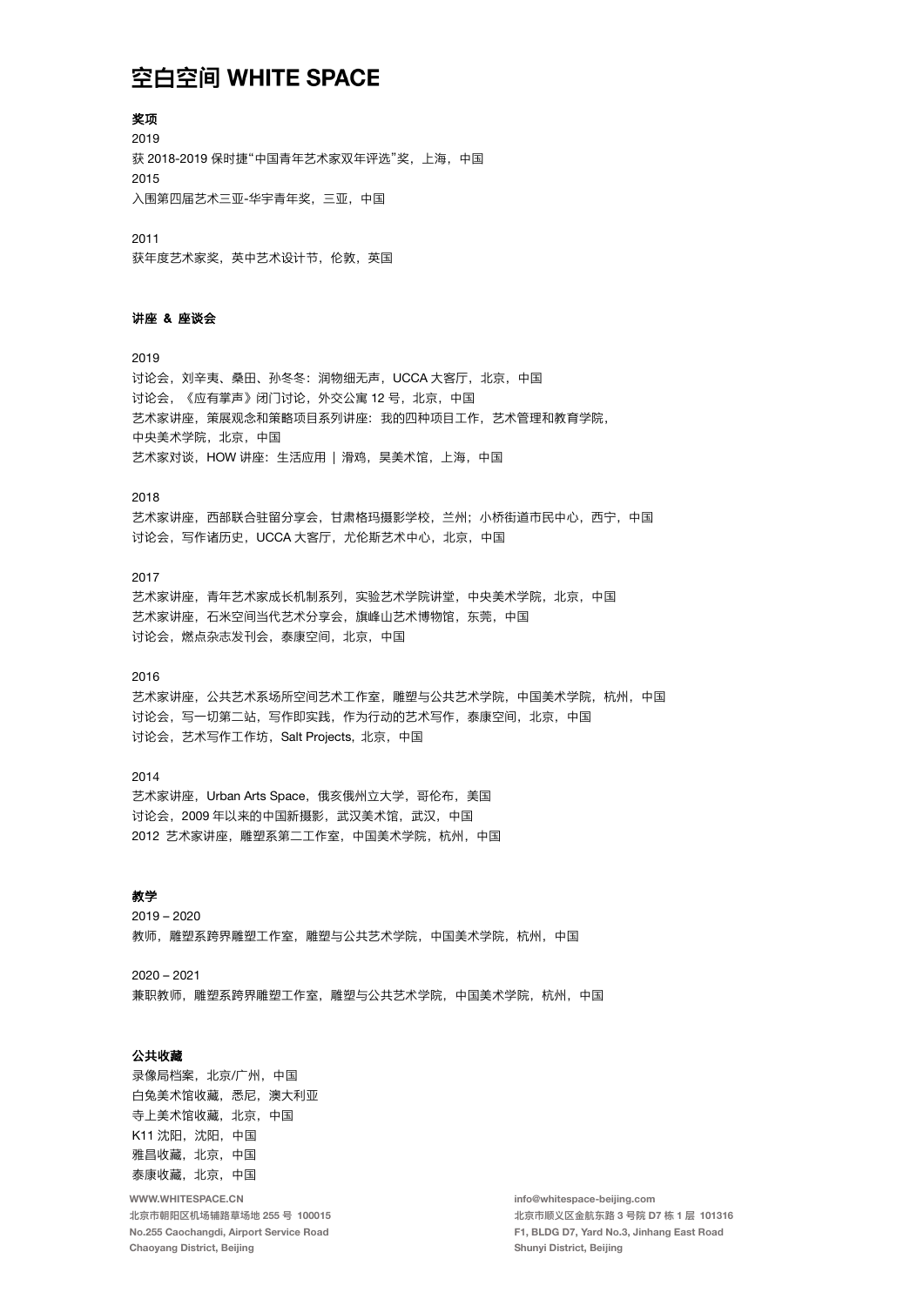奖项 2019 获 2018-2019 保时捷"中国青年艺术家双年评选"奖, 上海, 中国 2015 入围第四届艺术三亚-华宇青年奖, 三亚, 中国

2011 获年度艺术家奖, 英中艺术设计节, 伦敦, 英国

## 讲座 & 座谈会

2019 讨论会, 刘辛夷、桑田、孙冬冬: 润物细无声, UCCA 大客厅, 北京, 中国 讨论会, 《应有掌声》闭门讨论, 外交公寓 12号, 北京, 中国 艺术家讲座, 策展观念和策略项目系列讲座: 我的四种项目工作, 艺术管理和教育学院, 中央美术学院, 北京, 中国 艺术家对谈. HOW 讲座: 生活应用 | 滑鸡. 昊美术馆. 上海. 中国

2018

艺术家讲座,西部联合驻留分享会,甘肃格玛摄影学校,兰州;小桥街道市民中心,西宁,中国 讨论会,写作诸历史, UCCA 大客厅, 尤伦斯艺术中心, 北京, 中国

#### $2017$

艺术家讲座,青年艺术家成长机制系列,实验艺术学院讲堂,中央美术学院,北京,中国 艺术家讲座,石米空间当代艺术分享会,旗峰山艺术博物馆,东莞,中国 讨论会, 燃点杂志发刊会, 泰康空间, 北京, 中国

## 2016

艺术家讲座,公共艺术系场所空间艺术工作室、雕塑与公共艺术学院,中国美术学院,杭州,中国 讨论会,写一切第二站,写作即实践,作为行动的艺术写作,泰康空间,北京,中国 讨论会,艺术写作工作坊, Salt Projects, 北京, 中国

# 2014

艺术家讲座, Urban Arts Space, 俄亥俄州立大学, 哥伦布, 美国 讨论会, 2009年以来的中国新摄影, 武汉美术馆, 武汉, 中国 2012 艺术家讲座, 雕塑系第二工作室, 中国美术学院, 杭州, 中国

#### 教学

 $2019 - 2020$ 教师,雕塑系跨界雕塑工作室,雕塑与公共艺术学院,中国美术学院,杭州,中国

 $2020 - 2021$ 兼职教师,雕塑系跨界雕塑工作室,雕塑与公共艺术学院,中国美术学院,杭州,中国

# 公共收藏

录像局档案, 北京/广州, 中国 白兔美术馆收藏, 悉尼, 澳大利亚 寺上美术馆收藏, 北京, 中国 K11 沈阳, 沈阳, 中国 雅昌收藏, 北京, 中国 泰康收藏, 北京, 中国

WWW.WHITESPACE.CN 北京市朝阳区机场辅路草场地 255 号 100015 No.255 Caochangdi, Airport Service Road Chaoyang District, Beijing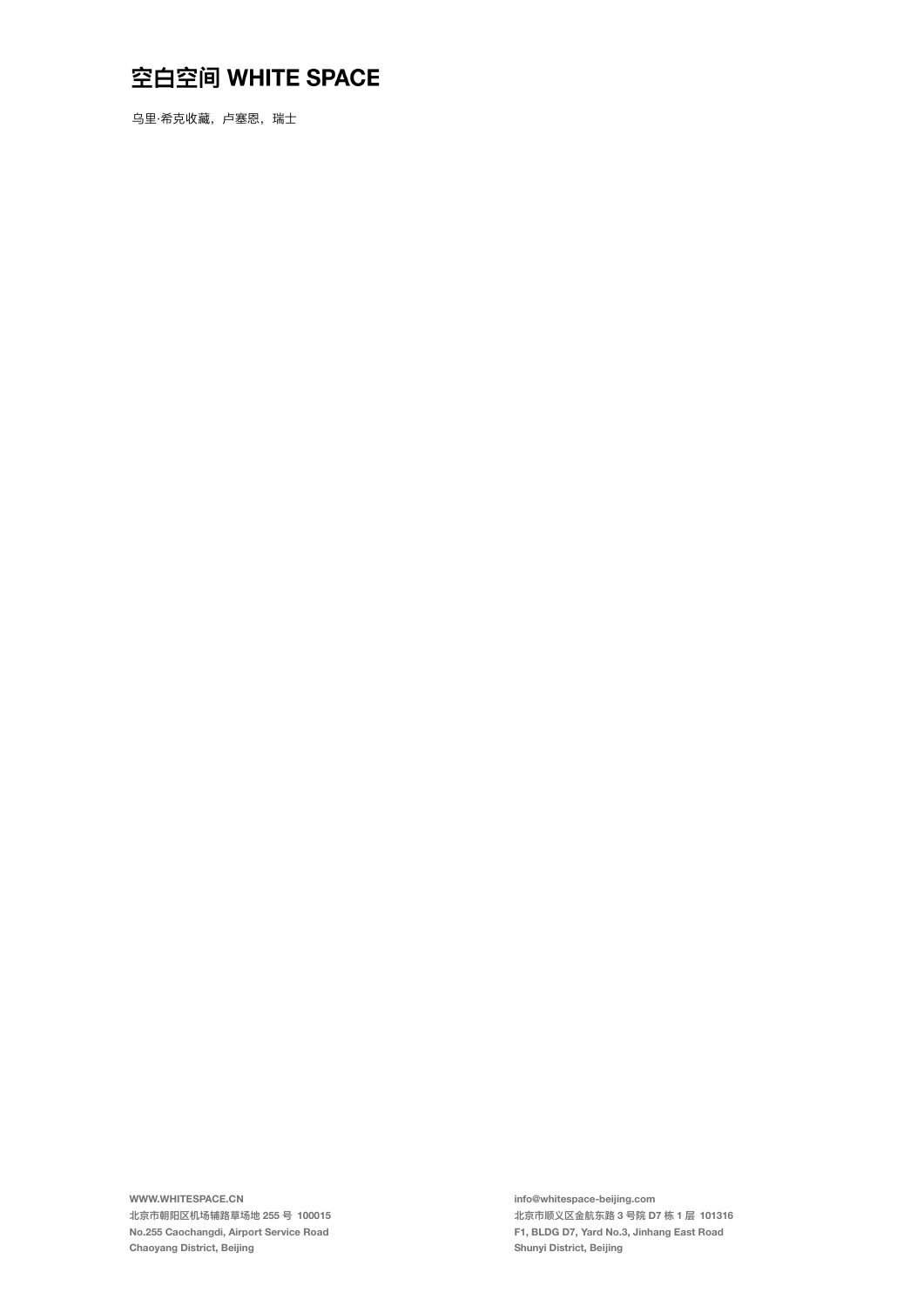乌里·希克收藏, 卢塞恩, 瑞士

WWW.WHITESPACE.CN 北京市朝阳区机场辅路草场地 255 号 100015 No.255 Caochangdi, Airport Service Road Chaoyang District, Beijing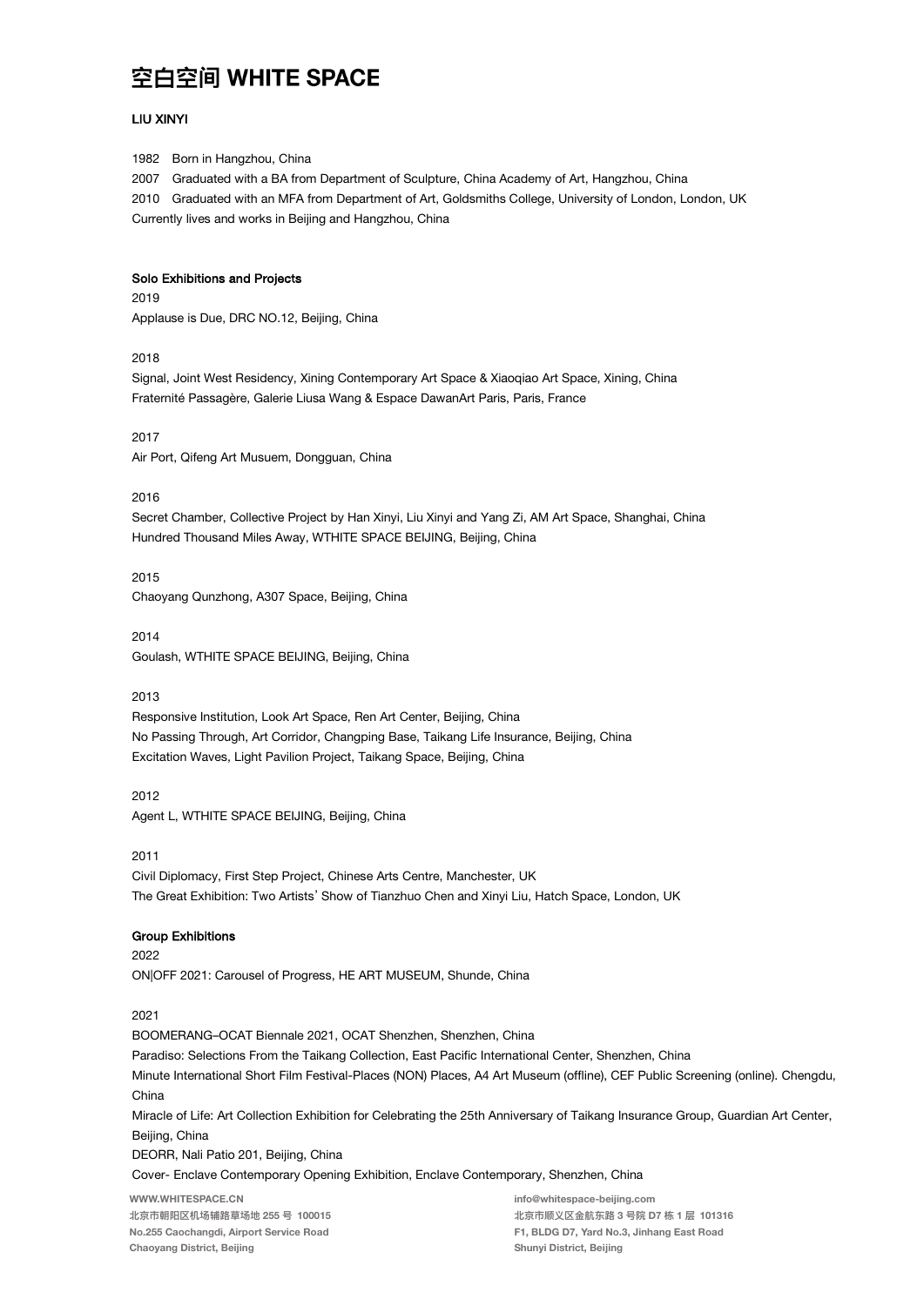#### **LIU XINYI**

1982 Born in Hangzhou, China

2007 Graduated with a BA from Department of Sculpture, China Academy of Art, Hangzhou, China 2010 Graduated with an MFA from Department of Art, Goldsmiths College, University of London, London, UK Currently lives and works in Beijing and Hangzhou, China

#### Solo Exhibitions and Projects

2019 Applause is Due, DRC NO.12, Beijing, China

2018

Signal, Joint West Residency, Xining Contemporary Art Space & Xiaoqiao Art Space, Xining, China Fraternité Passagère, Galerie Liusa Wang & Espace DawanArt Paris, Paris, France

 $2017$ Air Port, Qifeng Art Musuem, Dongguan, China

2016

Secret Chamber, Collective Project by Han Xinyi, Liu Xinyi and Yang Zi, AM Art Space, Shanghai, China Hundred Thousand Miles Away, WTHITE SPACE BEIJING, Beijing, China

2015 Chaoyang Qunzhong, A307 Space, Beijing, China

2014 Goulash, WTHITE SPACE BEIJING, Beijing, China

2013

Responsive Institution, Look Art Space, Ren Art Center, Beijing, China No Passing Through, Art Corridor, Changping Base, Taikang Life Insurance, Beijing, China Excitation Waves, Light Pavilion Project, Taikang Space, Beijing, China

2012 Agent L, WTHITE SPACE BEIJING, Beijing, China

2011

Civil Diplomacy, First Step Project, Chinese Arts Centre, Manchester, UK The Great Exhibition: Two Artists' Show of Tianzhuo Chen and Xinyi Liu, Hatch Space, London, UK

### **Group Exhibitions**

2022 ON|OFF 2021: Carousel of Progress, HE ART MUSEUM, Shunde, China

2021

BOOMERANG-OCAT Biennale 2021, OCAT Shenzhen, Shenzhen, China Paradiso: Selections From the Taikang Collection, East Pacific International Center, Shenzhen, China Minute International Short Film Festival-Places (NON) Places, A4 Art Museum (offline), CEF Public Screening (online). Chengdu, China Miracle of Life: Art Collection Exhibition for Celebrating the 25th Anniversary of Taikang Insurance Group, Guardian Art Center, Beijing, China DEORR, Nali Patio 201, Beijing, China Cover- Enclave Contemporary Opening Exhibition, Enclave Contemporary, Shenzhen, China WWW.WHITESPACE.CN info@whitespace-beijing.com 北京市朝阳区机场辅路草场地 255 号 100015 北京市顺义区金航东路 3 号院 D7 栋 1 层 101316

No.255 Caochangdi, Airport Service Road Chaoyang District, Beijing

F1, BLDG D7, Yard No.3, Jinhang East Road Shunyi District, Beijing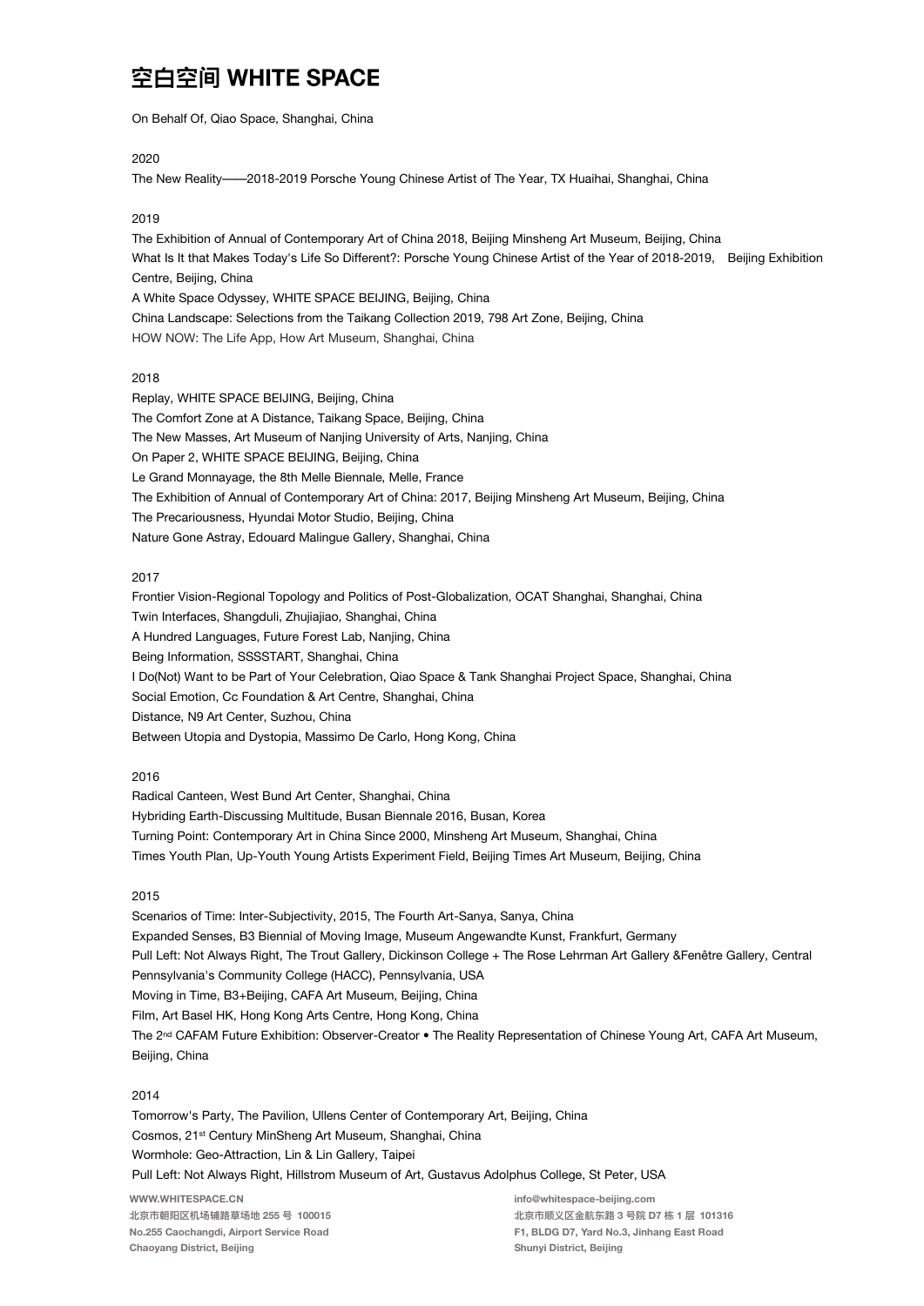On Behalf Of, Qiao Space, Shanghai, China

#### 2020

The New Reality-2018-2019 Porsche Young Chinese Artist of The Year, TX Huaihai, Shanghai, China

### 2019

The Exhibition of Annual of Contemporary Art of China 2018, Beijing Minsheng Art Museum, Beijing, China What Is It that Makes Today's Life So Different?: Porsche Young Chinese Artist of the Year of 2018-2019, Beijing Exhibition Centre, Beijing, China A White Space Odyssey, WHITE SPACE BEIJING, Beijing, China China Landscape: Selections from the Taikang Collection 2019, 798 Art Zone, Beijing, China HOW NOW: The Life App, How Art Museum, Shanghai, China

#### 2018

Replay, WHITE SPACE BEIJING, Beijing, China The Comfort Zone at A Distance, Taikang Space, Beijing, China The New Masses, Art Museum of Nanjing University of Arts, Nanjing, China On Paper 2, WHITE SPACE BEIJING, Beiling, China Le Grand Monnayage, the 8th Melle Biennale, Melle, France The Exhibition of Annual of Contemporary Art of China: 2017, Beijing Minsheng Art Museum, Beijing, China The Precariousness, Hyundai Motor Studio, Beijing, China Nature Gone Astray, Edouard Malingue Gallery, Shanghai, China

#### 2017

Frontier Vision-Regional Topology and Politics of Post-Globalization, OCAT Shanghai, Shanghai, China Twin Interfaces, Shangduli, Zhujiajiao, Shanghai, China A Hundred Languages, Future Forest Lab, Nanjing, China Being Information, SSSSTART, Shanghai, China I Do(Not) Want to be Part of Your Celebration, Qiao Space & Tank Shanghai Project Space, Shanghai, China Social Emotion, Cc Foundation & Art Centre, Shanghai, China Distance, N9 Art Center, Suzhou, China Between Utopia and Dystopia, Massimo De Carlo, Hong Kong, China

#### 2016

Radical Canteen, West Bund Art Center, Shanghai, China Hybriding Earth-Discussing Multitude, Busan Biennale 2016, Busan, Korea Turning Point: Contemporary Art in China Since 2000, Minsheng Art Museum, Shanghai, China Times Youth Plan, Up-Youth Young Artists Experiment Field, Beijing Times Art Museum, Beijing, China

#### $2015$

Scenarios of Time: Inter-Subjectivity, 2015, The Fourth Art-Sanya, Sanya, China Expanded Senses, B3 Biennial of Moving Image, Museum Angewandte Kunst, Frankfurt, Germany Pull Left: Not Always Right, The Trout Gallery, Dickinson College + The Rose Lehrman Art Gallery &Fenêtre Gallery, Central Pennsylvania's Community College (HACC), Pennsylvania, USA Moving in Time, B3+Beijing, CAFA Art Museum, Beijing, China Film, Art Basel HK, Hong Kong Arts Centre, Hong Kong, China The 2<sup>nd</sup> CAFAM Future Exhibition: Observer-Creator • The Reality Representation of Chinese Young Art, CAFA Art Museum, Beijing, China

### 2014

Tomorrow's Party, The Pavilion, Ullens Center of Contemporary Art, Beijing, China Cosmos, 21<sup>st</sup> Century MinSheng Art Museum, Shanghai, China Wormhole: Geo-Attraction, Lin & Lin Gallery, Taipei Pull Left: Not Always Right, Hillstrom Museum of Art, Gustavus Adolphus College, St Peter, USA

WWW.WHITESPACE.CN 北京市朝阳区机场辅路草场地 255 号 100015 No.255 Caochangdi, Airport Service Road Chaoyang District, Beijing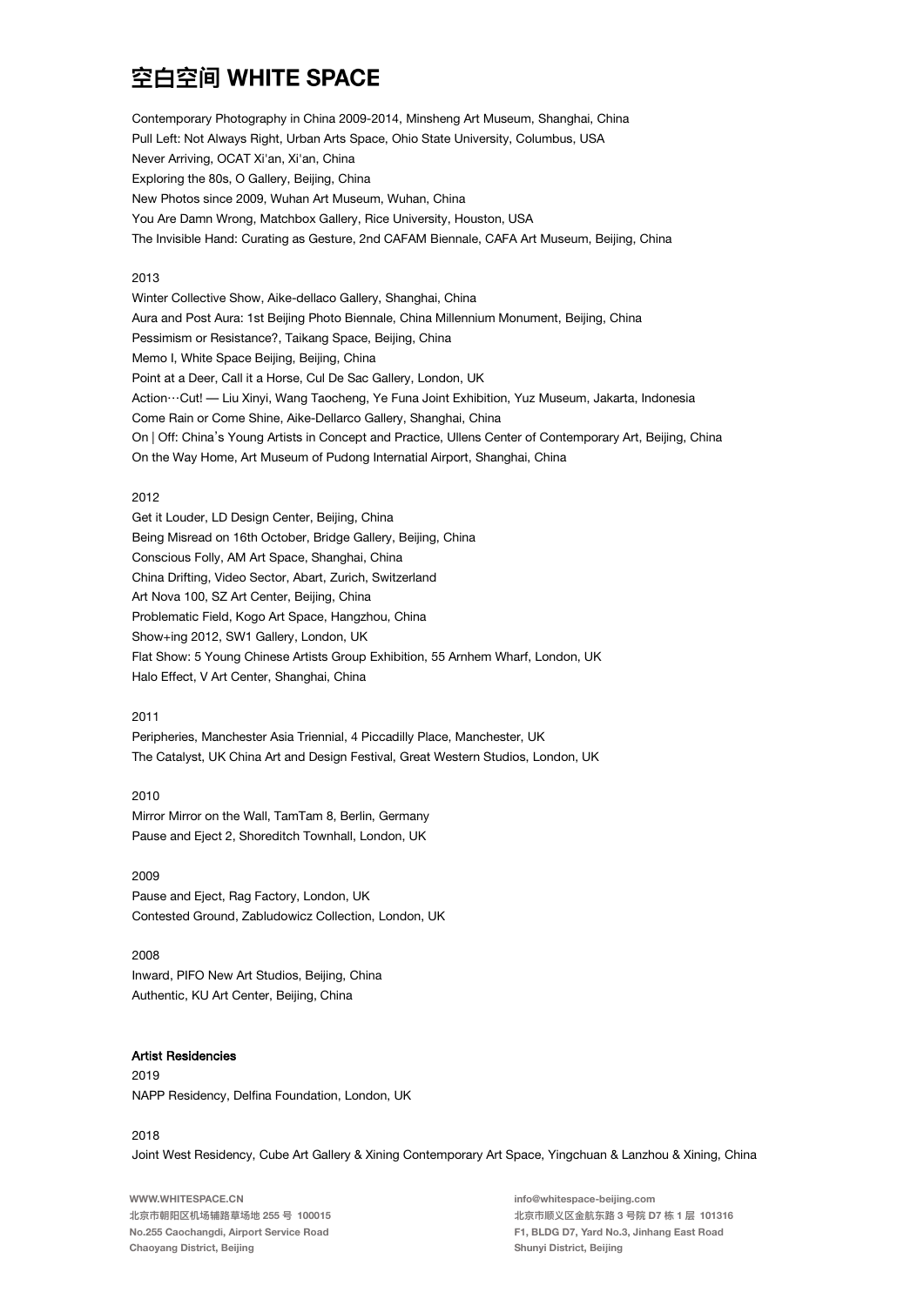Contemporary Photography in China 2009-2014, Minsheng Art Museum, Shanghai, China Pull Left: Not Always Right, Urban Arts Space, Ohio State University, Columbus, USA Never Arriving, OCAT Xi'an, Xi'an, China Exploring the 80s, O Gallery, Beijing, China New Photos since 2009, Wuhan Art Museum, Wuhan, China You Are Damn Wrong, Matchbox Gallery, Rice University, Houston, USA The Invisible Hand: Curating as Gesture, 2nd CAFAM Biennale, CAFA Art Museum, Beijing, China

### 2013

Winter Collective Show, Aike-dellaco Gallery, Shanghai, China Aura and Post Aura: 1st Beijing Photo Biennale, China Millennium Monument, Beijing, China Pessimism or Resistance?, Taikang Space, Beijing, China Memo I, White Space Beijing, Beijing, China Point at a Deer, Call it a Horse, Cul De Sac Gallery, London, UK Action ··· Cut! - Liu Xinyi, Wang Taocheng, Ye Funa Joint Exhibition, Yuz Museum, Jakarta, Indonesia Come Rain or Come Shine, Aike-Dellarco Gallery, Shanghai, China On | Off: China's Young Artists in Concept and Practice, Ullens Center of Contemporary Art, Beijing, China On the Way Home, Art Museum of Pudong Internatial Airport, Shanghai, China

#### 2012

Get it Louder, LD Design Center, Beijing, China Being Misread on 16th October, Bridge Gallery, Beijing, China Conscious Folly, AM Art Space, Shanghai, China China Drifting, Video Sector, Abart, Zurich, Switzerland Art Nova 100, SZ Art Center, Beijing, China Problematic Field, Kogo Art Space, Hangzhou, China Show+ing 2012, SW1 Gallery, London, UK Flat Show: 5 Young Chinese Artists Group Exhibition, 55 Arnhem Wharf, London, UK Halo Effect, V Art Center, Shanghai, China

#### $2011$

Peripheries, Manchester Asia Triennial, 4 Piccadilly Place, Manchester, UK The Catalyst, UK China Art and Design Festival, Great Western Studios, London, UK

#### 2010

Mirror Mirror on the Wall, TamTam 8, Berlin, Germany Pause and Eject 2, Shoreditch Townhall, London, UK

## 2009

Pause and Eject, Rag Factory, London, UK Contested Ground, Zabludowicz Collection, London, UK

#### 2008

Inward, PIFO New Art Studios, Beijing, China Authentic, KU Art Center, Beijing, China

#### **Artist Residencies**

2019 NAPP Residency, Delfina Foundation, London, UK

#### 2018

Joint West Residency, Cube Art Gallery & Xining Contemporary Art Space, Yingchuan & Lanzhou & Xining, China

WWW.WHITESPACE.CN 北京市朝阳区机场辅路草场地 255 号 100015 No.255 Caochangdi, Airport Service Road Chaoyang District, Beijing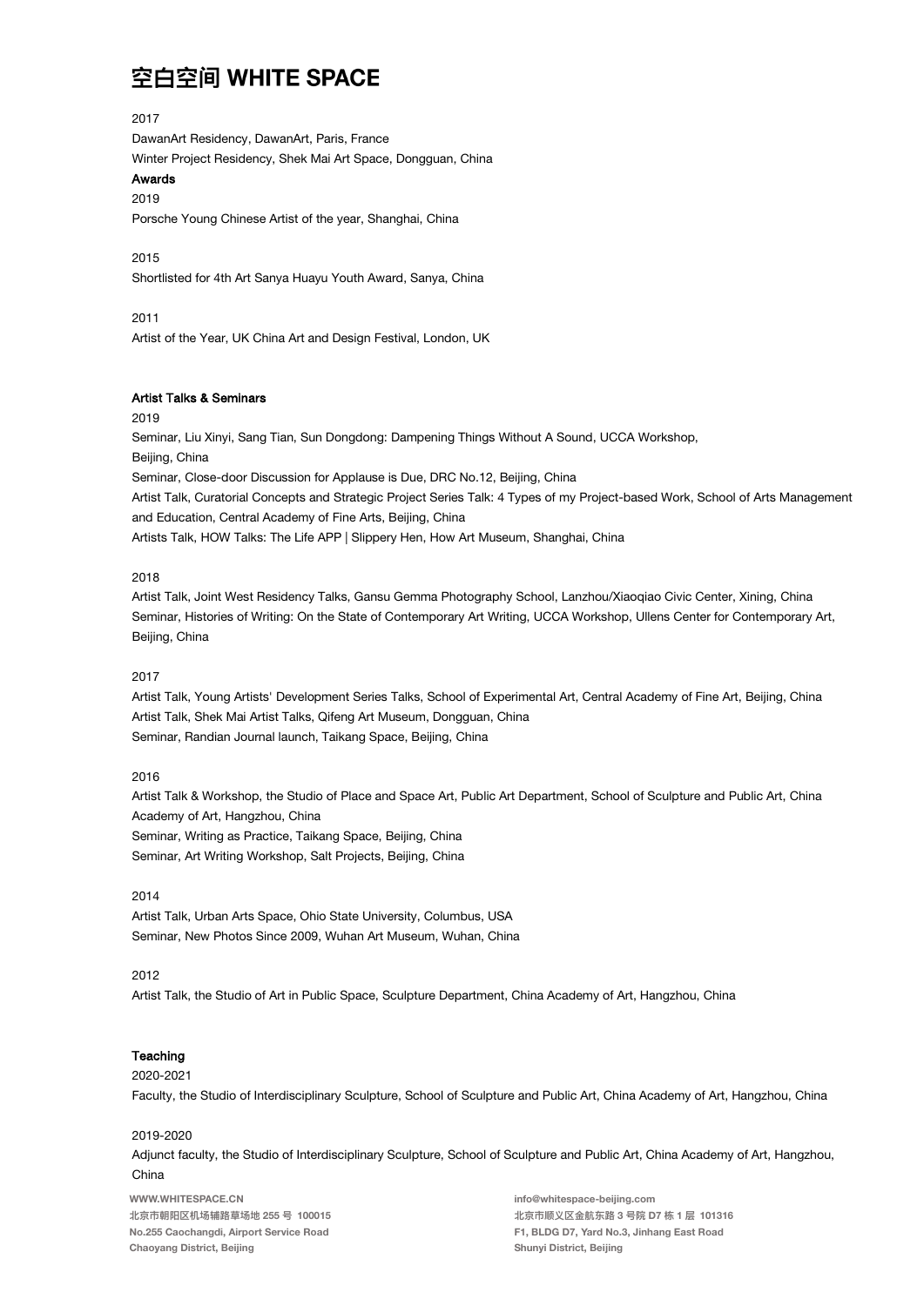### 2017

DawanArt Residency, DawanArt, Paris, France Winter Project Residency, Shek Mai Art Space, Dongguan, China

# Awards

### 2019

Porsche Young Chinese Artist of the year, Shanghai, China

## 2015

Shortlisted for 4th Art Sanya Huayu Youth Award, Sanya, China

### 2011

Artist of the Year, UK China Art and Design Festival, London, UK

#### **Artist Talks & Seminars**

#### 2019

Seminar, Liu Xinyi, Sang Tian, Sun Dongdong: Dampening Things Without A Sound, UCCA Workshop, Beiling, China Seminar, Close-door Discussion for Applause is Due, DRC No.12, Beijing, China Artist Talk, Curatorial Concepts and Strategic Project Series Talk: 4 Types of my Project-based Work, School of Arts Management and Education, Central Academy of Fine Arts, Beijing, China Artists Talk, HOW Talks: The Life APP | Slippery Hen, How Art Museum, Shanghai, China

#### 2018

Artist Talk, Joint West Residency Talks, Gansu Gemma Photography School, Lanzhou/Xiaogiao Civic Center, Xining, China Seminar, Histories of Writing: On the State of Contemporary Art Writing, UCCA Workshop, Ullens Center for Contemporary Art, Beijing, China

#### $2017$

Artist Talk, Young Artists' Development Series Talks, School of Experimental Art, Central Academy of Fine Art, Beijing, China Artist Talk, Shek Mai Artist Talks, Qifeng Art Museum, Dongguan, China Seminar, Randian Journal launch, Taikang Space, Beijing, China

## 2016

Artist Talk & Workshop, the Studio of Place and Space Art, Public Art Department, School of Sculpture and Public Art, China Academy of Art, Hangzhou, China Seminar, Writing as Practice, Taikang Space, Beijing, China Seminar, Art Writing Workshop, Salt Projects, Beijing, China

#### $2014$

Artist Talk, Urban Arts Space, Ohio State University, Columbus, USA Seminar, New Photos Since 2009, Wuhan Art Museum, Wuhan, China

#### 2012

Artist Talk, the Studio of Art in Public Space, Sculpture Department, China Academy of Art, Hangzhou, China

### Teaching

#### 2020-2021

Faculty, the Studio of Interdisciplinary Sculpture, School of Sculpture and Public Art, China Academy of Art, Hangzhou, China

#### 2019-2020

Adjunct faculty, the Studio of Interdisciplinary Sculpture, School of Sculpture and Public Art, China Academy of Art, Hangzhou, China

WWW.WHITESPACE.CN 北京市朝阳区机场辅路草场地 255 号 100015 No.255 Caochangdi, Airport Service Road Chaoyang District, Beijing